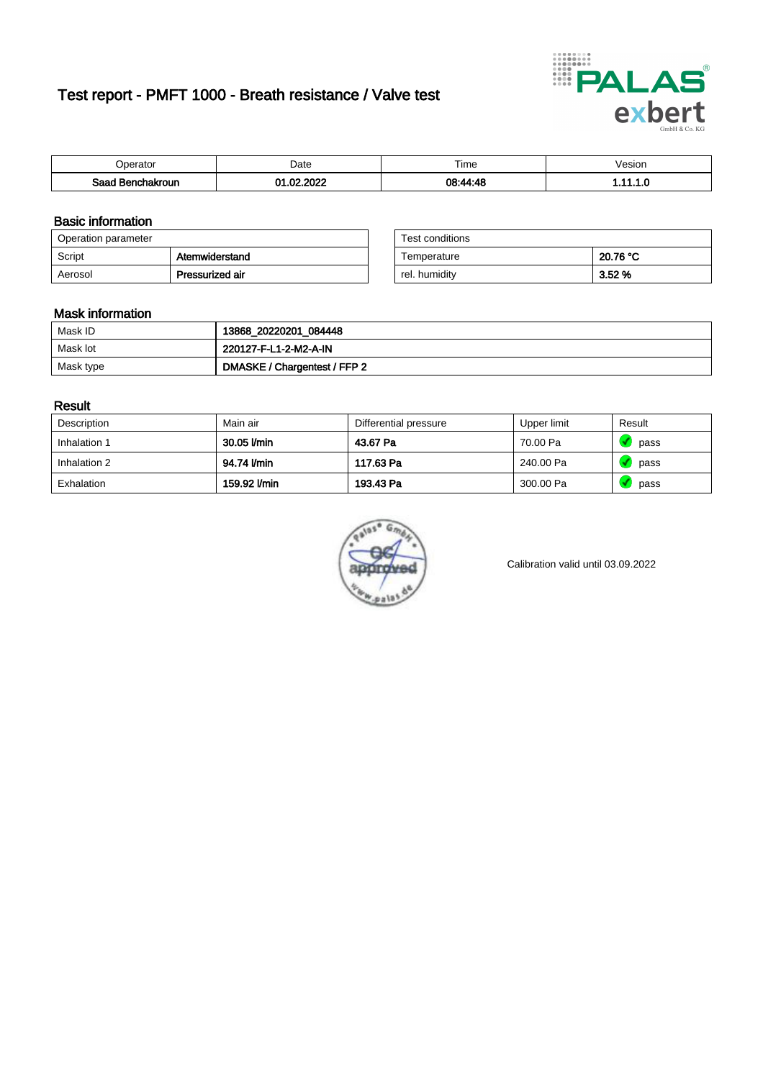# Test report - PMFT 1000 - Breath resistance / Valve test



| `nerator                      | Date       | $- \cdot$<br><b>Time</b> | esion |
|-------------------------------|------------|--------------------------|-------|
| Saad<br><b>nchakroun</b><br>. | 000<br>-ne | 08.44.48                 | .     |

### Basic information

| Operation parameter |                 | Test conditions |          |
|---------------------|-----------------|-----------------|----------|
| Script              | Atemwiderstand  | Temperature     | 20.76 °C |
| Aerosol             | Pressurized air | rel. humidity   | 3.52%    |

| Test conditions |          |
|-----------------|----------|
| Temperature     | 20.76 °C |
| rel. humidity   | 3.52 %   |

#### Mask information

| Mask ID   | 13868_20220201_084448        |
|-----------|------------------------------|
| Mask lot  | 220127-F-L1-2-M2-A-IN        |
| Mask type | DMASKE / Chargentest / FFP 2 |

### Result

| Description  | Main air     | Differential pressure | Upper limit | Result |
|--------------|--------------|-----------------------|-------------|--------|
| Inhalation 1 | 30.05 l/min  | 43.67 Pa              | 70.00 Pa    | pass   |
| Inhalation 2 | 94.74 I/min  | 117.63 Pa             | 240.00 Pa   | pass   |
| Exhalation   | 159.92 l/min | 193.43 Pa             | 300.00 Pa   | pass   |



Calibration valid until 03.09.2022